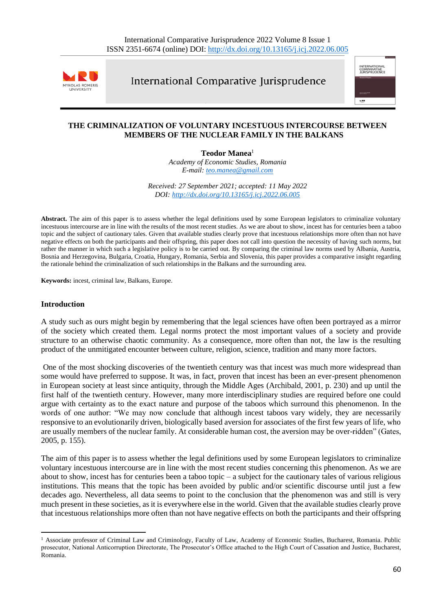

International Comparative Jurisprudence



## **THE CRIMINALIZATION OF VOLUNTARY INCESTUOUS INTERCOURSE BETWEEN MEMBERS OF THE NUCLEAR FAMILY IN THE BALKANS**

**Teodor Manea**<sup>1</sup>

*Academy of Economic Studies, Romania E-mail: [teo.manea@gmail.com](mailto:teo.manea@gmail.com)*

*Received: 27 September 2021; accepted: 11 May 2022 DOI: <http://dx.doi.org/10.13165/j.icj.2022.06.005>*

**Abstract.** The aim of this paper is to assess whether the legal definitions used by some European legislators to criminalize voluntary incestuous intercourse are in line with the results of the most recent studies. As we are about to show, incest has for centuries been a taboo topic and the subject of cautionary tales. Given that available studies clearly prove that incestuous relationships more often than not have negative effects on both the participants and their offspring, this paper does not call into question the necessity of having such norms, but rather the manner in which such a legislative policy is to be carried out. By comparing the criminal law norms used by Albania, Austria, Bosnia and Herzegovina, Bulgaria, Croatia, Hungary, Romania, Serbia and Slovenia, this paper provides a comparative insight regarding the rationale behind the criminalization of such relationships in the Balkans and the surrounding area.

**Keywords:** incest, criminal law, Balkans, Europe.

### **Introduction**

A study such as ours might begin by remembering that the legal sciences have often been portrayed as a mirror of the society which created them. Legal norms protect the most important values of a society and provide structure to an otherwise chaotic community. As a consequence, more often than not, the law is the resulting product of the unmitigated encounter between culture, religion, science, tradition and many more factors.

One of the most shocking discoveries of the twentieth century was that incest was much more widespread than some would have preferred to suppose. It was, in fact, proven that incest has been an ever-present phenomenon in European society at least since antiquity, through the Middle Ages (Archibald, 2001, p. 230) and up until the first half of the twentieth century. However, many more interdisciplinary studies are required before one could argue with certainty as to the exact nature and purpose of the taboos which surround this phenomenon. In the words of one author: "We may now conclude that although incest taboos vary widely, they are necessarily responsive to an evolutionarily driven, biologically based aversion for associates of the first few years of life, who are usually members of the nuclear family. At considerable human cost, the aversion may be over-ridden" (Gates, 2005, p. 155).

The aim of this paper is to assess whether the legal definitions used by some European legislators to criminalize voluntary incestuous intercourse are in line with the most recent studies concerning this phenomenon. As we are about to show, incest has for centuries been a taboo topic – a subject for the cautionary tales of various religious institutions. This means that the topic has been avoided by public and/or scientific discourse until just a few decades ago. Nevertheless, all data seems to point to the conclusion that the phenomenon was and still is very much present in these societies, as it is everywhere else in the world. Given that the available studies clearly prove that incestuous relationships more often than not have negative effects on both the participants and their offspring

<sup>&</sup>lt;sup>1</sup> Associate professor of Criminal Law and Criminology, Faculty of Law, Academy of Economic Studies, Bucharest, Romania. Public prosecutor, National Anticorruption Directorate, The Prosecutor's Office attached to the High Court of Cassation and Justice, Bucharest, Romania.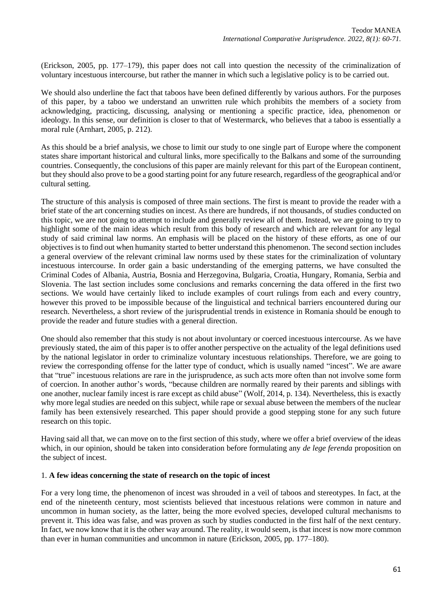(Erickson, 2005, pp. 177–179), this paper does not call into question the necessity of the criminalization of voluntary incestuous intercourse, but rather the manner in which such a legislative policy is to be carried out.

We should also underline the fact that taboos have been defined differently by various authors. For the purposes of this paper, by a taboo we understand an unwritten rule which prohibits the members of a society from acknowledging, practicing, discussing, analysing or mentioning a specific practice, idea, phenomenon or ideology. In this sense, our definition is closer to that of Westermarck, who believes that a taboo is essentially a moral rule (Arnhart, 2005, p. 212).

As this should be a brief analysis, we chose to limit our study to one single part of Europe where the component states share important historical and cultural links, more specifically to the Balkans and some of the surrounding countries. Consequently, the conclusions of this paper are mainly relevant for this part of the European continent, but they should also prove to be a good starting point for any future research, regardless of the geographical and/or cultural setting.

The structure of this analysis is composed of three main sections. The first is meant to provide the reader with a brief state of the art concerning studies on incest. As there are hundreds, if not thousands, of studies conducted on this topic, we are not going to attempt to include and generally review all of them. Instead, we are going to try to highlight some of the main ideas which result from this body of research and which are relevant for any legal study of said criminal law norms. An emphasis will be placed on the history of these efforts, as one of our objectives is to find out when humanity started to better understand this phenomenon. The second section includes a general overview of the relevant criminal law norms used by these states for the criminalization of voluntary incestuous intercourse. In order gain a basic understanding of the emerging patterns, we have consulted the Criminal Codes of Albania, Austria, Bosnia and Herzegovina, Bulgaria, Croatia, Hungary, Romania, Serbia and Slovenia. The last section includes some conclusions and remarks concerning the data offered in the first two sections. We would have certainly liked to include examples of court rulings from each and every country, however this proved to be impossible because of the linguistical and technical barriers encountered during our research. Nevertheless, a short review of the jurisprudential trends in existence in Romania should be enough to provide the reader and future studies with a general direction.

One should also remember that this study is not about involuntary or coerced incestuous intercourse. As we have previously stated, the aim of this paper is to offer another perspective on the actuality of the legal definitions used by the national legislator in order to criminalize voluntary incestuous relationships. Therefore, we are going to review the corresponding offense for the latter type of conduct, which is usually named "incest". We are aware that "true" incestuous relations are rare in the jurisprudence, as such acts more often than not involve some form of coercion. In another author's words, "because children are normally reared by their parents and siblings with one another, nuclear family incest is rare except as child abuse" (Wolf, 2014, p. 134). Nevertheless, this is exactly why more legal studies are needed on this subject, while rape or sexual abuse between the members of the nuclear family has been extensively researched. This paper should provide a good stepping stone for any such future research on this topic.

Having said all that, we can move on to the first section of this study, where we offer a brief overview of the ideas which, in our opinion, should be taken into consideration before formulating any *de lege ferenda* proposition on the subject of incest.

#### 1. **A few ideas concerning the state of research on the topic of incest**

For a very long time, the phenomenon of incest was shrouded in a veil of taboos and stereotypes. In fact, at the end of the nineteenth century, most scientists believed that incestuous relations were common in nature and uncommon in human society, as the latter, being the more evolved species, developed cultural mechanisms to prevent it. This idea was false, and was proven as such by studies conducted in the first half of the next century. In fact, we now know that it is the other way around. The reality, it would seem, is that incest is now more common than ever in human communities and uncommon in nature (Erickson, 2005, pp. 177–180).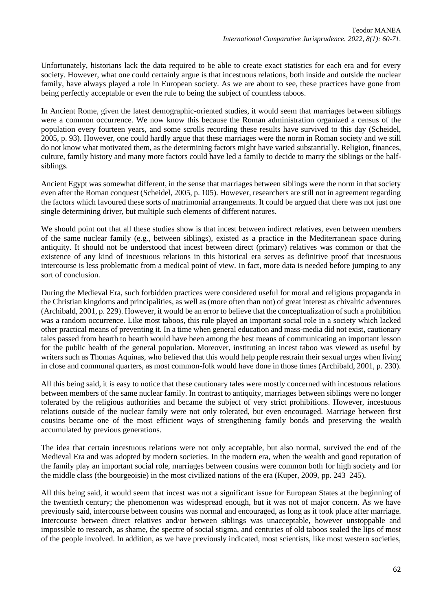Unfortunately, historians lack the data required to be able to create exact statistics for each era and for every society. However, what one could certainly argue is that incestuous relations, both inside and outside the nuclear family, have always played a role in European society. As we are about to see, these practices have gone from being perfectly acceptable or even the rule to being the subject of countless taboos.

In Ancient Rome, given the latest demographic-oriented studies, it would seem that marriages between siblings were a common occurrence. We now know this because the Roman administration organized a census of the population every fourteen years, and some scrolls recording these results have survived to this day (Scheidel, 2005, p. 93). However, one could hardly argue that these marriages were the norm in Roman society and we still do not know what motivated them, as the determining factors might have varied substantially. Religion, finances, culture, family history and many more factors could have led a family to decide to marry the siblings or the halfsiblings.

Ancient Egypt was somewhat different, in the sense that marriages between siblings were the norm in that society even after the Roman conquest (Scheidel, 2005, p. 105). However, researchers are still not in agreement regarding the factors which favoured these sorts of matrimonial arrangements. It could be argued that there was not just one single determining driver, but multiple such elements of different natures.

We should point out that all these studies show is that incest between indirect relatives, even between members of the same nuclear family (e.g., between siblings), existed as a practice in the Mediterranean space during antiquity. It should not be understood that incest between direct (primary) relatives was common or that the existence of any kind of incestuous relations in this historical era serves as definitive proof that incestuous intercourse is less problematic from a medical point of view. In fact, more data is needed before jumping to any sort of conclusion.

During the Medieval Era, such forbidden practices were considered useful for moral and religious propaganda in the Christian kingdoms and principalities, as well as (more often than not) of great interest as chivalric adventures (Archibald, 2001, p. 229). However, it would be an error to believe that the conceptualization of such a prohibition was a random occurrence. Like most taboos, this rule played an important social role in a society which lacked other practical means of preventing it. In a time when general education and mass-media did not exist, cautionary tales passed from hearth to hearth would have been among the best means of communicating an important lesson for the public health of the general population. Moreover, instituting an incest taboo was viewed as useful by writers such as Thomas Aquinas, who believed that this would help people restrain their sexual urges when living in close and communal quarters, as most common-folk would have done in those times (Archibald, 2001, p. 230).

All this being said, it is easy to notice that these cautionary tales were mostly concerned with incestuous relations between members of the same nuclear family. In contrast to antiquity, marriages between siblings were no longer tolerated by the religious authorities and became the subject of very strict prohibitions. However, incestuous relations outside of the nuclear family were not only tolerated, but even encouraged. Marriage between first cousins became one of the most efficient ways of strengthening family bonds and preserving the wealth accumulated by previous generations.

The idea that certain incestuous relations were not only acceptable, but also normal, survived the end of the Medieval Era and was adopted by modern societies. In the modern era, when the wealth and good reputation of the family play an important social role, marriages between cousins were common both for high society and for the middle class (the bourgeoisie) in the most civilized nations of the era (Kuper, 2009, pp. 243–245).

All this being said, it would seem that incest was not a significant issue for European States at the beginning of the twentieth century; the phenomenon was widespread enough, but it was not of major concern. As we have previously said, intercourse between cousins was normal and encouraged, as long as it took place after marriage. Intercourse between direct relatives and/or between siblings was unacceptable, however unstoppable and impossible to research, as shame, the spectre of social stigma, and centuries of old taboos sealed the lips of most of the people involved. In addition, as we have previously indicated, most scientists, like most western societies,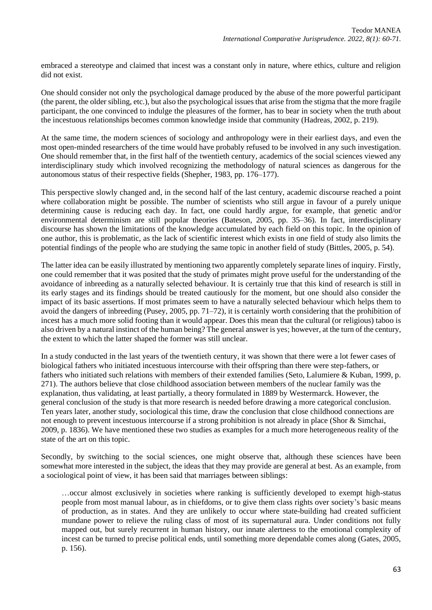embraced a stereotype and claimed that incest was a constant only in nature, where ethics, culture and religion did not exist.

One should consider not only the psychological damage produced by the abuse of the more powerful participant (the parent, the older sibling, etc.), but also the psychological issues that arise from the stigma that the more fragile participant, the one convinced to indulge the pleasures of the former, has to bear in society when the truth about the incestuous relationships becomes common knowledge inside that community (Hadreas, 2002, p. 219).

At the same time, the modern sciences of sociology and anthropology were in their earliest days, and even the most open-minded researchers of the time would have probably refused to be involved in any such investigation. One should remember that, in the first half of the twentieth century, academics of the social sciences viewed any interdisciplinary study which involved recognizing the methodology of natural sciences as dangerous for the autonomous status of their respective fields (Shepher, 1983, pp. 176–177).

This perspective slowly changed and, in the second half of the last century, academic discourse reached a point where collaboration might be possible. The number of scientists who still argue in favour of a purely unique determining cause is reducing each day. In fact, one could hardly argue, for example, that genetic and/or environmental determinism are still popular theories (Bateson, 2005, pp. 35–36). In fact, interdisciplinary discourse has shown the limitations of the knowledge accumulated by each field on this topic. In the opinion of one author, this is problematic, as the lack of scientific interest which exists in one field of study also limits the potential findings of the people who are studying the same topic in another field of study (Bittles, 2005, p. 54).

The latter idea can be easily illustrated by mentioning two apparently completely separate lines of inquiry. Firstly, one could remember that it was posited that the study of primates might prove useful for the understanding of the avoidance of inbreeding as a naturally selected behaviour. It is certainly true that this kind of research is still in its early stages and its findings should be treated cautiously for the moment, but one should also consider the impact of its basic assertions. If most primates seem to have a naturally selected behaviour which helps them to avoid the dangers of inbreeding (Pusey, 2005, pp. 71–72), it is certainly worth considering that the prohibition of incest has a much more solid footing than it would appear. Does this mean that the cultural (or religious) taboo is also driven by a natural instinct of the human being? The general answer is yes; however, at the turn of the century, the extent to which the latter shaped the former was still unclear.

In a study conducted in the last years of the twentieth century, it was shown that there were a lot fewer cases of biological fathers who initiated incestuous intercourse with their offspring than there were step-fathers, or fathers who initiated such relations with members of their extended families (Seto, Lalumiere & Kuban, 1999, p. 271). The authors believe that close childhood association between members of the nuclear family was the explanation, thus validating, at least partially, a theory formulated in 1889 by Westermarck. However, the general conclusion of the study is that more research is needed before drawing a more categorical conclusion. Ten years later, another study, sociological this time, draw the conclusion that close childhood connections are not enough to prevent incestuous intercourse if a strong prohibition is not already in place (Shor & Simchai, 2009, p. 1836). We have mentioned these two studies as examples for a much more heterogeneous reality of the state of the art on this topic.

Secondly, by switching to the social sciences, one might observe that, although these sciences have been somewhat more interested in the subject, the ideas that they may provide are general at best. As an example, from a sociological point of view, it has been said that marriages between siblings:

…occur almost exclusively in societies where ranking is sufficiently developed to exempt high-status people from most manual labour, as in chiefdoms, or to give them class rights over society's basic means of production, as in states. And they are unlikely to occur where state-building had created sufficient mundane power to relieve the ruling class of most of its supernatural aura. Under conditions not fully mapped out, but surely recurrent in human history, our innate alertness to the emotional complexity of incest can be turned to precise political ends, until something more dependable comes along (Gates, 2005, p. 156).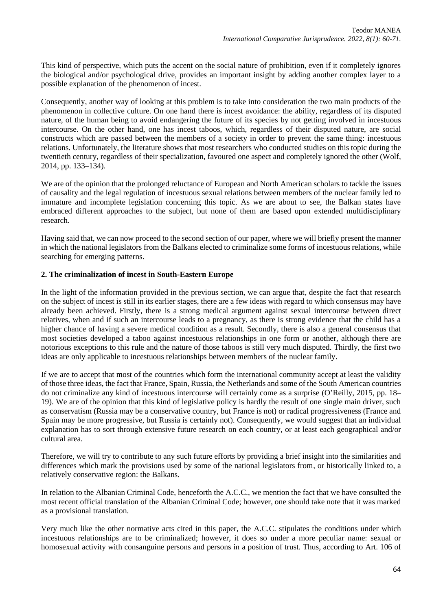This kind of perspective, which puts the accent on the social nature of prohibition, even if it completely ignores the biological and/or psychological drive, provides an important insight by adding another complex layer to a possible explanation of the phenomenon of incest.

Consequently, another way of looking at this problem is to take into consideration the two main products of the phenomenon in collective culture. On one hand there is incest avoidance: the ability, regardless of its disputed nature, of the human being to avoid endangering the future of its species by not getting involved in incestuous intercourse. On the other hand, one has incest taboos, which, regardless of their disputed nature, are social constructs which are passed between the members of a society in order to prevent the same thing: incestuous relations. Unfortunately, the literature shows that most researchers who conducted studies on this topic during the twentieth century, regardless of their specialization, favoured one aspect and completely ignored the other (Wolf, 2014, pp. 133–134).

We are of the opinion that the prolonged reluctance of European and North American scholars to tackle the issues of causality and the legal regulation of incestuous sexual relations between members of the nuclear family led to immature and incomplete legislation concerning this topic. As we are about to see, the Balkan states have embraced different approaches to the subject, but none of them are based upon extended multidisciplinary research.

Having said that, we can now proceed to the second section of our paper, where we will briefly present the manner in which the national legislators from the Balkans elected to criminalize some forms of incestuous relations, while searching for emerging patterns.

# **2. The criminalization of incest in South-Eastern Europe**

In the light of the information provided in the previous section, we can argue that, despite the fact that research on the subject of incest is still in its earlier stages, there are a few ideas with regard to which consensus may have already been achieved. Firstly, there is a strong medical argument against sexual intercourse between direct relatives, when and if such an intercourse leads to a pregnancy, as there is strong evidence that the child has a higher chance of having a severe medical condition as a result. Secondly, there is also a general consensus that most societies developed a taboo against incestuous relationships in one form or another, although there are notorious exceptions to this rule and the nature of those taboos is still very much disputed. Thirdly, the first two ideas are only applicable to incestuous relationships between members of the nuclear family.

If we are to accept that most of the countries which form the international community accept at least the validity of those three ideas, the fact that France, Spain, Russia, the Netherlands and some of the South American countries do not criminalize any kind of incestuous intercourse will certainly come as a surprise (O'Reilly, 2015, pp. 18– 19). We are of the opinion that this kind of legislative policy is hardly the result of one single main driver, such as conservatism (Russia may be a conservative country, but France is not) or radical progressiveness (France and Spain may be more progressive, but Russia is certainly not). Consequently, we would suggest that an individual explanation has to sort through extensive future research on each country, or at least each geographical and/or cultural area.

Therefore, we will try to contribute to any such future efforts by providing a brief insight into the similarities and differences which mark the provisions used by some of the national legislators from, or historically linked to, a relatively conservative region: the Balkans.

In relation to the Albanian Criminal Code, henceforth the A.C.C., we mention the fact that we have consulted the most recent official translation of the Albanian Criminal Code; however, one should take note that it was marked as a provisional translation.

Very much like the other normative acts cited in this paper, the A.C.C. stipulates the conditions under which incestuous relationships are to be criminalized; however, it does so under a more peculiar name: sexual or homosexual activity with consanguine persons and persons in a position of trust. Thus, according to Art. 106 of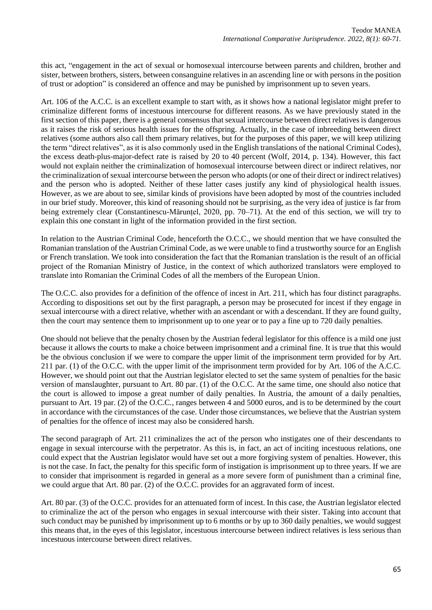this act, "engagement in the act of sexual or homosexual intercourse between parents and children, brother and sister, between brothers, sisters, between consanguine relatives in an ascending line or with persons in the position of trust or adoption" is considered an offence and may be punished by imprisonment up to seven years.

Art. 106 of the A.C.C. is an excellent example to start with, as it shows how a national legislator might prefer to criminalize different forms of incestuous intercourse for different reasons. As we have previously stated in the first section of this paper, there is a general consensus that sexual intercourse between direct relatives is dangerous as it raises the risk of serious health issues for the offspring. Actually, in the case of inbreeding between direct relatives (some authors also call them primary relatives, but for the purposes of this paper, we will keep utilizing the term "direct relatives", as it is also commonly used in the English translations of the national Criminal Codes), the excess death-plus-major-defect rate is raised by 20 to 40 percent (Wolf, 2014, p. 134). However, this fact would not explain neither the criminalization of homosexual intercourse between direct or indirect relatives, nor the criminalization of sexual intercourse between the person who adopts (or one of their direct or indirect relatives) and the person who is adopted. Neither of these latter cases justify any kind of physiological health issues. However, as we are about to see, similar kinds of provisions have been adopted by most of the countries included in our brief study. Moreover, this kind of reasoning should not be surprising, as the very idea of justice is far from being extremely clear (Constantinescu-Mărunțel, 2020, pp. 70–71). At the end of this section, we will try to explain this one constant in light of the information provided in the first section.

In relation to the Austrian Criminal Code, henceforth the O.C.C., we should mention that we have consulted the Romanian translation of the Austrian Criminal Code, as we were unable to find a trustworthy source for an English or French translation. We took into consideration the fact that the Romanian translation is the result of an official project of the Romanian Ministry of Justice, in the context of which authorized translators were employed to translate into Romanian the Criminal Codes of all the members of the European Union.

The O.C.C. also provides for a definition of the offence of incest in Art. 211, which has four distinct paragraphs. According to dispositions set out by the first paragraph, a person may be prosecuted for incest if they engage in sexual intercourse with a direct relative, whether with an ascendant or with a descendant. If they are found guilty, then the court may sentence them to imprisonment up to one year or to pay a fine up to 720 daily penalties.

One should not believe that the penalty chosen by the Austrian federal legislator for this offence is a mild one just because it allows the courts to make a choice between imprisonment and a criminal fine. It is true that this would be the obvious conclusion if we were to compare the upper limit of the imprisonment term provided for by Art. 211 par. (1) of the O.C.C. with the upper limit of the imprisonment term provided for by Art. 106 of the A.C.C. However, we should point out that the Austrian legislator elected to set the same system of penalties for the basic version of manslaughter, pursuant to Art. 80 par. (1) of the O.C.C. At the same time, one should also notice that the court is allowed to impose a great number of daily penalties. In Austria, the amount of a daily penalties, pursuant to Art. 19 par. (2) of the O.C.C., ranges between 4 and 5000 euros, and is to be determined by the court in accordance with the circumstances of the case. Under those circumstances, we believe that the Austrian system of penalties for the offence of incest may also be considered harsh.

The second paragraph of Art. 211 criminalizes the act of the person who instigates one of their descendants to engage in sexual intercourse with the perpetrator. As this is, in fact, an act of inciting incestuous relations, one could expect that the Austrian legislator would have set out a more forgiving system of penalties. However, this is not the case. In fact, the penalty for this specific form of instigation is imprisonment up to three years. If we are to consider that imprisonment is regarded in general as a more severe form of punishment than a criminal fine, we could argue that Art. 80 par. (2) of the O.C.C. provides for an aggravated form of incest.

Art. 80 par. (3) of the O.C.C. provides for an attenuated form of incest. In this case, the Austrian legislator elected to criminalize the act of the person who engages in sexual intercourse with their sister. Taking into account that such conduct may be punished by imprisonment up to 6 months or by up to 360 daily penalties, we would suggest this means that, in the eyes of this legislator, incestuous intercourse between indirect relatives is less serious than incestuous intercourse between direct relatives.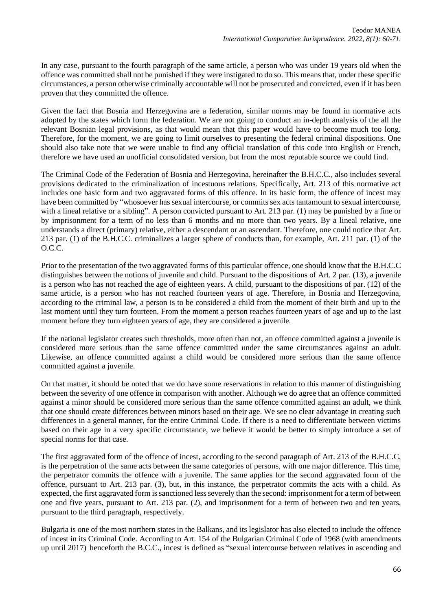In any case, pursuant to the fourth paragraph of the same article, a person who was under 19 years old when the offence was committed shall not be punished if they were instigated to do so. This means that, under these specific circumstances, a person otherwise criminally accountable will not be prosecuted and convicted, even if it has been proven that they committed the offence.

Given the fact that Bosnia and Herzegovina are a federation, similar norms may be found in normative acts adopted by the states which form the federation. We are not going to conduct an in-depth analysis of the all the relevant Bosnian legal provisions, as that would mean that this paper would have to become much too long. Therefore, for the moment, we are going to limit ourselves to presenting the federal criminal dispositions. One should also take note that we were unable to find any official translation of this code into English or French, therefore we have used an unofficial consolidated version, but from the most reputable source we could find.

The Criminal Code of the Federation of Bosnia and Herzegovina, hereinafter the B.H.C.C., also includes several provisions dedicated to the criminalization of incestuous relations. Specifically, Art. 213 of this normative act includes one basic form and two aggravated forms of this offence. In its basic form, the offence of incest may have been committed by "whosoever has sexual intercourse, or commits sex acts tantamount to sexual intercourse, with a lineal relative or a sibling". A person convicted pursuant to Art. 213 par. (1) may be punished by a fine or by imprisonment for a term of no less than 6 months and no more than two years. By a lineal relative, one understands a direct (primary) relative, either a descendant or an ascendant. Therefore, one could notice that Art. 213 par. (1) of the B.H.C.C. criminalizes a larger sphere of conducts than, for example, Art. 211 par. (1) of the O.C.C.

Prior to the presentation of the two aggravated forms of this particular offence, one should know that the B.H.C.C distinguishes between the notions of juvenile and child. Pursuant to the dispositions of Art. 2 par. (13), a juvenile is a person who has not reached the age of eighteen years. A child, pursuant to the dispositions of par. (12) of the same article, is a person who has not reached fourteen years of age. Therefore, in Bosnia and Herzegovina, according to the criminal law, a person is to be considered a child from the moment of their birth and up to the last moment until they turn fourteen. From the moment a person reaches fourteen years of age and up to the last moment before they turn eighteen years of age, they are considered a juvenile.

If the national legislator creates such thresholds, more often than not, an offence committed against a juvenile is considered more serious than the same offence committed under the same circumstances against an adult. Likewise, an offence committed against a child would be considered more serious than the same offence committed against a juvenile.

On that matter, it should be noted that we do have some reservations in relation to this manner of distinguishing between the severity of one offence in comparison with another. Although we do agree that an offence committed against a minor should be considered more serious than the same offence committed against an adult, we think that one should create differences between minors based on their age. We see no clear advantage in creating such differences in a general manner, for the entire Criminal Code. If there is a need to differentiate between victims based on their age in a very specific circumstance, we believe it would be better to simply introduce a set of special norms for that case.

The first aggravated form of the offence of incest, according to the second paragraph of Art. 213 of the B.H.C.C, is the perpetration of the same acts between the same categories of persons, with one major difference. This time, the perpetrator commits the offence with a juvenile. The same applies for the second aggravated form of the offence, pursuant to Art. 213 par. (3), but, in this instance, the perpetrator commits the acts with a child. As expected, the first aggravated form is sanctioned less severely than the second: imprisonment for a term of between one and five years, pursuant to Art. 213 par. (2), and imprisonment for a term of between two and ten years, pursuant to the third paragraph, respectively.

Bulgaria is one of the most northern states in the Balkans, and its legislator has also elected to include the offence of incest in its Criminal Code. According to Art. 154 of the Bulgarian Criminal Code of 1968 (with amendments up until 2017) henceforth the B.C.C., incest is defined as "sexual intercourse between relatives in ascending and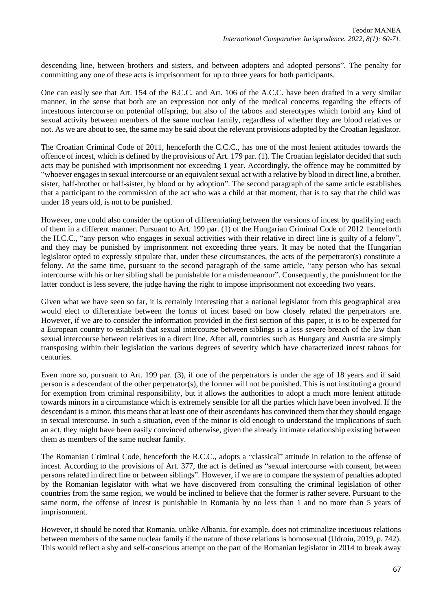descending line, between brothers and sisters, and between adopters and adopted persons". The penalty for committing any one of these acts is imprisonment for up to three years for both participants.

One can easily see that Art. 154 of the B.C.C. and Art. 106 of the A.C.C. have been drafted in a very similar manner, in the sense that both are an expression not only of the medical concerns regarding the effects of incestuous intercourse on potential offspring, but also of the taboos and stereotypes which forbid any kind of sexual activity between members of the same nuclear family, regardless of whether they are blood relatives or not. As we are about to see, the same may be said about the relevant provisions adopted by the Croatian legislator.

The Croatian Criminal Code of 2011, henceforth the C.C.C., has one of the most lenient attitudes towards the offence of incest, which is defined by the provisions of Art. 179 par. (1). The Croatian legislator decided that such acts may be punished with imprisonment not exceeding 1 year. Accordingly, the offence may be committed by "whoever engages in sexual intercourse or an equivalent sexual act with a relative by blood in direct line, a brother, sister, half-brother or half-sister, by blood or by adoption". The second paragraph of the same article establishes that a participant to the commission of the act who was a child at that moment, that is to say that the child was under 18 years old, is not to be punished.

However, one could also consider the option of differentiating between the versions of incest by qualifying each of them in a different manner. Pursuant to Art. 199 par. (1) of the Hungarian Criminal Code of 2012 henceforth the H.C.C., "any person who engages in sexual activities with their relative in direct line is guilty of a felony", and they may be punished by imprisonment not exceeding three years. It may be noted that the Hungarian legislator opted to expressly stipulate that, under these circumstances, the acts of the perpetrator(s) constitute a felony. At the same time, pursuant to the second paragraph of the same article, "any person who has sexual intercourse with his or her sibling shall be punishable for a misdemeanour". Consequently, the punishment for the latter conduct is less severe, the judge having the right to impose imprisonment not exceeding two years.

Given what we have seen so far, it is certainly interesting that a national legislator from this geographical area would elect to differentiate between the forms of incest based on how closely related the perpetrators are. However, if we are to consider the information provided in the first section of this paper, it is to be expected for a European country to establish that sexual intercourse between siblings is a less severe breach of the law than sexual intercourse between relatives in a direct line. After all, countries such as Hungary and Austria are simply transposing within their legislation the various degrees of severity which have characterized incest taboos for centuries.

Even more so, pursuant to Art. 199 par. (3), if one of the perpetrators is under the age of 18 years and if said person is a descendant of the other perpetrator(s), the former will not be punished. This is not instituting a ground for exemption from criminal responsibility, but it allows the authorities to adopt a much more lenient attitude towards minors in a circumstance which is extremely sensible for all the parties which have been involved. If the descendant is a minor, this means that at least one of their ascendants has convinced them that they should engage in sexual intercourse. In such a situation, even if the minor is old enough to understand the implications of such an act, they might have been easily convinced otherwise, given the already intimate relationship existing between them as members of the same nuclear family.

The Romanian Criminal Code, henceforth the R.C.C., adopts a "classical" attitude in relation to the offense of incest. According to the provisions of Art. 377, the act is defined as "sexual intercourse with consent, between persons related in direct line or between siblings". However, if we are to compare the system of penalties adopted by the Romanian legislator with what we have discovered from consulting the criminal legislation of other countries from the same region, we would be inclined to believe that the former is rather severe. Pursuant to the same norm, the offense of incest is punishable in Romania by no less than 1 and no more than 5 years of imprisonment.

However, it should be noted that Romania, unlike Albania, for example, does not criminalize incestuous relations between members of the same nuclear family if the nature of those relations is homosexual (Udroiu, 2019, p. 742). This would reflect a shy and self-conscious attempt on the part of the Romanian legislator in 2014 to break away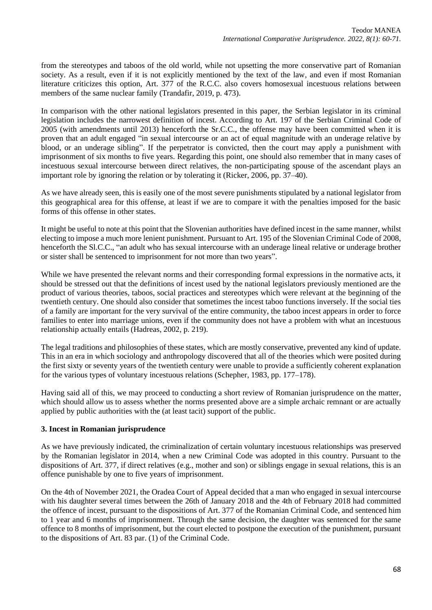from the stereotypes and taboos of the old world, while not upsetting the more conservative part of Romanian society. As a result, even if it is not explicitly mentioned by the text of the law, and even if most Romanian literature criticizes this option, Art. 377 of the R.C.C. also covers homosexual incestuous relations between members of the same nuclear family (Trandafir, 2019, p. 473).

In comparison with the other national legislators presented in this paper, the Serbian legislator in its criminal legislation includes the narrowest definition of incest. According to Art. 197 of the Serbian Criminal Code of 2005 (with amendments until 2013) henceforth the Sr.C.C., the offense may have been committed when it is proven that an adult engaged "in sexual intercourse or an act of equal magnitude with an underage relative by blood, or an underage sibling". If the perpetrator is convicted, then the court may apply a punishment with imprisonment of six months to five years. Regarding this point, one should also remember that in many cases of incestuous sexual intercourse between direct relatives, the non-participating spouse of the ascendant plays an important role by ignoring the relation or by tolerating it (Ricker, 2006, pp. 37–40).

As we have already seen, this is easily one of the most severe punishments stipulated by a national legislator from this geographical area for this offense, at least if we are to compare it with the penalties imposed for the basic forms of this offense in other states.

It might be useful to note at this point that the Slovenian authorities have defined incest in the same manner, whilst electing to impose a much more lenient punishment. Pursuant to Art. 195 of the Slovenian Criminal Code of 2008, henceforth the Sl.C.C., "an adult who has sexual intercourse with an underage lineal relative or underage brother or sister shall be sentenced to imprisonment for not more than two years".

While we have presented the relevant norms and their corresponding formal expressions in the normative acts, it should be stressed out that the definitions of incest used by the national legislators previously mentioned are the product of various theories, taboos, social practices and stereotypes which were relevant at the beginning of the twentieth century. One should also consider that sometimes the incest taboo functions inversely. If the social ties of a family are important for the very survival of the entire community, the taboo incest appears in order to force families to enter into marriage unions, even if the community does not have a problem with what an incestuous relationship actually entails (Hadreas, 2002, p. 219).

The legal traditions and philosophies of these states, which are mostly conservative, prevented any kind of update. This in an era in which sociology and anthropology discovered that all of the theories which were posited during the first sixty or seventy years of the twentieth century were unable to provide a sufficiently coherent explanation for the various types of voluntary incestuous relations (Schepher, 1983, pp. 177–178).

Having said all of this, we may proceed to conducting a short review of Romanian jurisprudence on the matter, which should allow us to assess whether the norms presented above are a simple archaic remnant or are actually applied by public authorities with the (at least tacit) support of the public.

# **3. Incest in Romanian jurisprudence**

As we have previously indicated, the criminalization of certain voluntary incestuous relationships was preserved by the Romanian legislator in 2014, when a new Criminal Code was adopted in this country. Pursuant to the dispositions of Art. 377, if direct relatives (e.g., mother and son) or siblings engage in sexual relations, this is an offence punishable by one to five years of imprisonment.

On the 4th of November 2021, the Oradea Court of Appeal decided that a man who engaged in sexual intercourse with his daughter several times between the 26th of January 2018 and the 4th of February 2018 had committed the offence of incest, pursuant to the dispositions of Art. 377 of the Romanian Criminal Code, and sentenced him to 1 year and 6 months of imprisonment. Through the same decision, the daughter was sentenced for the same offence to 8 months of imprisonment, but the court elected to postpone the execution of the punishment, pursuant to the dispositions of Art. 83 par. (1) of the Criminal Code.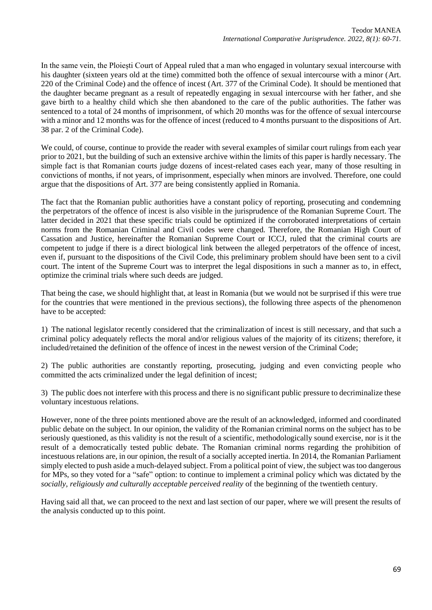In the same vein, the Ploiești Court of Appeal ruled that a man who engaged in voluntary sexual intercourse with his daughter (sixteen years old at the time) committed both the offence of sexual intercourse with a minor (Art. 220 of the Criminal Code) and the offence of incest (Art. 377 of the Criminal Code). It should be mentioned that the daughter became pregnant as a result of repeatedly engaging in sexual intercourse with her father, and she gave birth to a healthy child which she then abandoned to the care of the public authorities. The father was sentenced to a total of 24 months of imprisonment, of which 20 months was for the offence of sexual intercourse with a minor and 12 months was for the offence of incest (reduced to 4 months pursuant to the dispositions of Art. 38 par. 2 of the Criminal Code).

We could, of course, continue to provide the reader with several examples of similar court rulings from each year prior to 2021, but the building of such an extensive archive within the limits of this paper is hardly necessary. The simple fact is that Romanian courts judge dozens of incest-related cases each year, many of those resulting in convictions of months, if not years, of imprisonment, especially when minors are involved. Therefore, one could argue that the dispositions of Art. 377 are being consistently applied in Romania.

The fact that the Romanian public authorities have a constant policy of reporting, prosecuting and condemning the perpetrators of the offence of incest is also visible in the jurisprudence of the Romanian Supreme Court. The latter decided in 2021 that these specific trials could be optimized if the corroborated interpretations of certain norms from the Romanian Criminal and Civil codes were changed. Therefore, the Romanian High Court of Cassation and Justice, hereinafter the Romanian Supreme Court or ICCJ, ruled that the criminal courts are competent to judge if there is a direct biological link between the alleged perpetrators of the offence of incest, even if, pursuant to the dispositions of the Civil Code, this preliminary problem should have been sent to a civil court. The intent of the Supreme Court was to interpret the legal dispositions in such a manner as to, in effect, optimize the criminal trials where such deeds are judged.

That being the case, we should highlight that, at least in Romania (but we would not be surprised if this were true for the countries that were mentioned in the previous sections), the following three aspects of the phenomenon have to be accepted:

1) The national legislator recently considered that the criminalization of incest is still necessary, and that such a criminal policy adequately reflects the moral and/or religious values of the majority of its citizens; therefore, it included/retained the definition of the offence of incest in the newest version of the Criminal Code;

2) The public authorities are constantly reporting, prosecuting, judging and even convicting people who committed the acts criminalized under the legal definition of incest;

3) The public does not interfere with this process and there is no significant public pressure to decriminalize these voluntary incestuous relations.

However, none of the three points mentioned above are the result of an acknowledged, informed and coordinated public debate on the subject. In our opinion, the validity of the Romanian criminal norms on the subject has to be seriously questioned, as this validity is not the result of a scientific, methodologically sound exercise, nor is it the result of a democratically tested public debate. The Romanian criminal norms regarding the prohibition of incestuous relations are, in our opinion, the result of a socially accepted inertia. In 2014, the Romanian Parliament simply elected to push aside a much-delayed subject. From a political point of view, the subject was too dangerous for MPs, so they voted for a "safe" option: to continue to implement a criminal policy which was dictated by the *socially, religiously and culturally acceptable perceived reality* of the beginning of the twentieth century.

Having said all that, we can proceed to the next and last section of our paper, where we will present the results of the analysis conducted up to this point.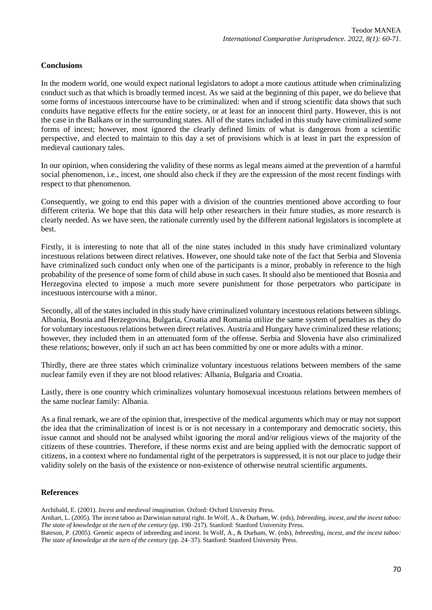## **Conclusions**

In the modern world, one would expect national legislators to adopt a more cautious attitude when criminalizing conduct such as that which is broadly termed incest. As we said at the beginning of this paper, we do believe that some forms of incestuous intercourse have to be criminalized: when and if strong scientific data shows that such conduits have negative effects for the entire society, or at least for an innocent third party. However, this is not the case in the Balkans or in the surrounding states. All of the states included in this study have criminalized some forms of incest; however, most ignored the clearly defined limits of what is dangerous from a scientific perspective, and elected to maintain to this day a set of provisions which is at least in part the expression of medieval cautionary tales.

In our opinion, when considering the validity of these norms as legal means aimed at the prevention of a harmful social phenomenon, i.e., incest, one should also check if they are the expression of the most recent findings with respect to that phenomenon.

Consequently, we going to end this paper with a division of the countries mentioned above according to four different criteria. We hope that this data will help other researchers in their future studies, as more research is clearly needed. As we have seen, the rationale currently used by the different national legislators is incomplete at best.

Firstly, it is interesting to note that all of the nine states included in this study have criminalized voluntary incestuous relations between direct relatives. However, one should take note of the fact that Serbia and Slovenia have criminalized such conduct only when one of the participants is a minor, probably in reference to the high probability of the presence of some form of child abuse in such cases. It should also be mentioned that Bosnia and Herzegovina elected to impose a much more severe punishment for those perpetrators who participate in incestuous intercourse with a minor.

Secondly, all of the states included in this study have criminalized voluntary incestuous relations between siblings. Albania, Bosnia and Herzegovina, Bulgaria, Croatia and Romania utilize the same system of penalties as they do for voluntary incestuous relations between direct relatives. Austria and Hungary have criminalized these relations; however, they included them in an attenuated form of the offense. Serbia and Slovenia have also criminalized these relations; however, only if such an act has been committed by one or more adults with a minor.

Thirdly, there are three states which criminalize voluntary incestuous relations between members of the same nuclear family even if they are not blood relatives: Albania, Bulgaria and Croatia.

Lastly, there is one country which criminalizes voluntary homosexual incestuous relations between members of the same nuclear family: Albania.

As a final remark, we are of the opinion that, irrespective of the medical arguments which may or may not support the idea that the criminalization of incest is or is not necessary in a contemporary and democratic society, this issue cannot and should not be analysed whilst ignoring the moral and/or religious views of the majority of the citizens of these countries. Therefore, if these norms exist and are being applied with the democratic support of citizens, in a context where no fundamental right of the perpetrators is suppressed, it is not our place to judge their validity solely on the basis of the existence or non-existence of otherwise neutral scientific arguments.

#### **References**

Archibald, E. (2001). *Incest and medieval imagination.* Oxford: Oxford University Press.

Arnhart, L. (2005). The incest taboo as Darwinian natural right. In Wolf, A., & Durham, W. (eds), *Inbreeding, incest, and the incest taboo: The state of knowledge at the turn of the century* (pp. 190–217). Stanford: Stanford University Press.

Bateson, P. (2005). Genetic aspects of inbreeding and incest. In Wolf, A., & Durham, W. (eds), *Inbreeding, incest, and the incest taboo: The state of knowledge at the turn of the century* (pp. 24–37). Stanford: Stanford University Press.